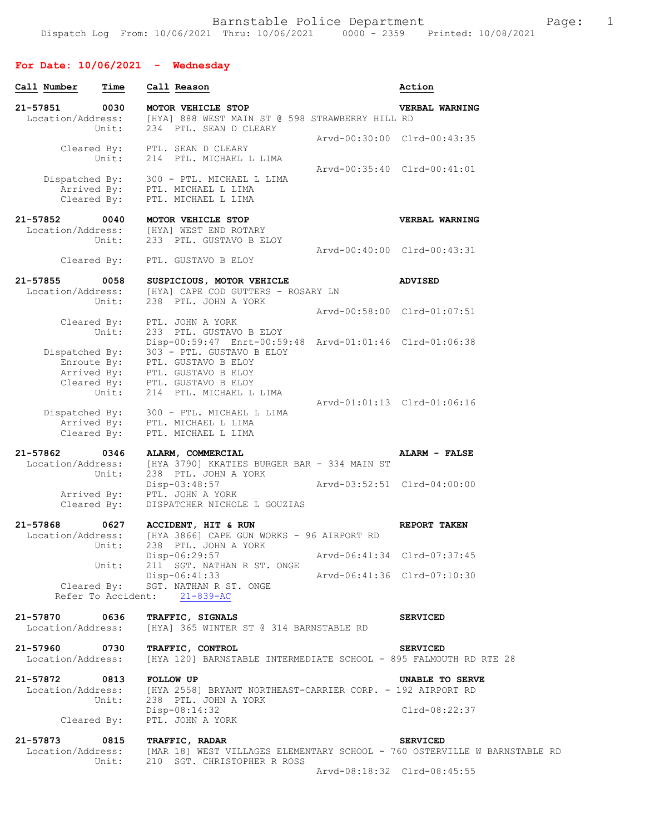## **For Date: 10/06/2021 - Wednesday**

| Call Number                        | Time                         | Call Reason                                                                                                                                                                                                                                                        |                             | Action                                                                    |
|------------------------------------|------------------------------|--------------------------------------------------------------------------------------------------------------------------------------------------------------------------------------------------------------------------------------------------------------------|-----------------------------|---------------------------------------------------------------------------|
| 21-57851<br>Location/Address:      | 0030<br>Unit:                | MOTOR VEHICLE STOP<br>[HYA] 888 WEST MAIN ST @ 598 STRAWBERRY HILL RD<br>234 PTL. SEAN D CLEARY                                                                                                                                                                    |                             | VERBAL WARNING                                                            |
|                                    | Unit:                        | Cleared By: PTL. SEAN D CLEARY<br>214 PTL. MICHAEL L LIMA                                                                                                                                                                                                          | Arvd-00:30:00 Clrd-00:43:35 |                                                                           |
| Cleared By:                        |                              | Dispatched By: 300 - PTL. MICHAEL L LIMA<br>Arrived By: PTL. MICHAEL L LIMA<br>PTL. MICHAEL L LIMA                                                                                                                                                                 | Arvd-00:35:40 Clrd-00:41:01 |                                                                           |
| 21-57852                           | 0040<br>Unit:                | MOTOR VEHICLE STOP<br>Location/Address: [HYA] WEST END ROTARY<br>233 PTL. GUSTAVO B ELOY                                                                                                                                                                           |                             | VERBAL WARNING                                                            |
| Cleared By:                        |                              | PTL. GUSTAVO B ELOY                                                                                                                                                                                                                                                | Arvd-00:40:00 Clrd-00:43:31 |                                                                           |
| 21-57855<br>Location/Address:      | 0058<br>Unit:                | SUSPICIOUS, MOTOR VEHICLE<br>[HYA] CAPE COD GUTTERS - ROSARY LN<br>238 PTL. JOHN A YORK                                                                                                                                                                            |                             | <b>ADVISED</b>                                                            |
| Cleared By:                        |                              | PTL. JOHN A YORK                                                                                                                                                                                                                                                   | Arvd-00:58:00 Clrd-01:07:51 |                                                                           |
|                                    | Unit:<br>Unit:               | 233 PTL. GUSTAVO B ELOY<br>Disp-00:59:47 Enrt-00:59:48 Arvd-01:01:46 Clrd-01:06:38<br>Dispatched By: 303 - PTL. GUSTAVO B ELOY<br>Enroute By: PTL. GUSTAVO B ELOY<br>Arrived By: PTL. GUSTAVO B ELOY<br>Cleared By: PTL. GUSTAVO B ELOY<br>214 PTL. MICHAEL L LIMA |                             |                                                                           |
| Arrived By:<br>Cleared By:         |                              | Dispatched By: 300 - PTL. MICHAEL L LIMA<br>PTL. MICHAEL L LIMA<br>PTL. MICHAEL L LIMA                                                                                                                                                                             | Arvd-01:01:13 Clrd-01:06:16 |                                                                           |
| 21-57862<br>Location/Address:      | 0346<br>Unit:                | ALARM, COMMERCIAL<br>[HYA 3790] KKATIES BURGER BAR - 334 MAIN ST<br>238 PTL. JOHN A YORK                                                                                                                                                                           |                             | ALARM - FALSE                                                             |
| Arrived By:<br>Cleared By:         |                              | $Disp-03:48:57$<br>PTL. JOHN A YORK<br>DISPATCHER NICHOLE L GOUZIAS                                                                                                                                                                                                |                             |                                                                           |
| 21-57868<br>Location/Address:      | 0627<br>Unit:                | ACCIDENT, HIT & RUN<br>[HYA 3866] CAPE GUN WORKS - 96 AIRPORT RD<br>238 PTL. JOHN A YORK                                                                                                                                                                           |                             | REPORT TAKEN                                                              |
|                                    | Unit:                        | Disp-06:29:57<br>211 SGT. NATHAN R ST. ONGE                                                                                                                                                                                                                        | Arvd-06:41:34 Clrd-07:37:45 |                                                                           |
| Cleared By:                        | Refer To Accident: 21-839-AC | Disp-06:41:33<br>SGT. NATHAN R ST. ONGE                                                                                                                                                                                                                            | Arvd-06:41:36 Clrd-07:10:30 |                                                                           |
| 21-57870<br>Location/Address:      | 0636                         | TRAFFIC, SIGNALS<br>[HYA] 365 WINTER ST @ 314 BARNSTABLE RD                                                                                                                                                                                                        |                             | <b>SERVICED</b>                                                           |
| 21-57960 0730<br>Location/Address: |                              | TRAFFIC, CONTROL<br>[HYA 120] BARNSTABLE INTERMEDIATE SCHOOL - 895 FALMOUTH RD RTE 28                                                                                                                                                                              |                             | <b>SERVICED</b>                                                           |
| 21-57872<br>Location/Address:      | 0813<br><b>FOLLOW UP</b>     | [HYA 2558] BRYANT NORTHEAST-CARRIER CORP. - 192 AIRPORT RD                                                                                                                                                                                                         |                             | UNABLE TO SERVE                                                           |
| Cleared By:                        | Unit:                        | 238 PTL. JOHN A YORK<br>Disp-08:14:32<br>PTL. JOHN A YORK                                                                                                                                                                                                          |                             | $Clrd-08:22:37$                                                           |
| 21-57873                           | 0815                         | TRAFFIC, RADAR                                                                                                                                                                                                                                                     |                             | <b>SERVICED</b>                                                           |
| Location/Address:                  | Unit:                        | 210 SGT. CHRISTOPHER R ROSS                                                                                                                                                                                                                                        |                             | [MAR 18] WEST VILLAGES ELEMENTARY SCHOOL - 760 OSTERVILLE W BARNSTABLE RD |
|                                    |                              |                                                                                                                                                                                                                                                                    | Arvd-08:18:32 Clrd-08:45:55 |                                                                           |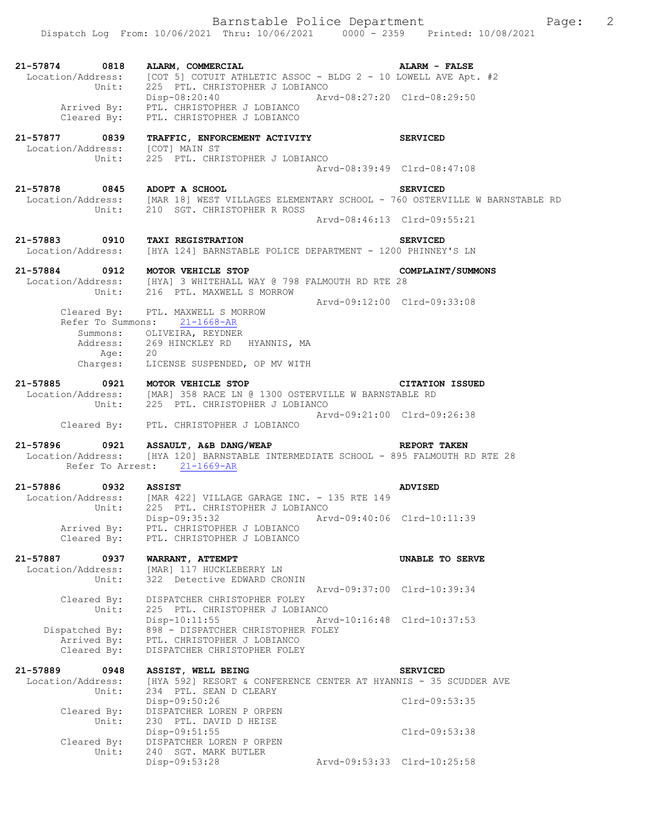Barnstable Police Department Fage: 2 Dispatch Log From: 10/06/2021 Thru: 10/06/2021 0000 - 2359 Printed: 10/08/2021 **21-57874 0818 ALARM, COMMERCIAL ALARM - FALSE**  Location/Address: [COT 5] COTUIT ATHLETIC ASSOC - BLDG 2 - 10 LOWELL AVE Apt. #2 Unit: 225 PTL. CHRISTOPHER J LOBIANCO Disp-08:20:40 Arvd-08:27:20 Clrd-08:29:50 Arrived By: PTL. CHRISTOPHER J LOBIANCO Cleared By: PTL. CHRISTOPHER J LOBIANCO **21-57877 0839 TRAFFIC, ENFORCEMENT ACTIVITY SERVICED**  Location/Address: [COT] MAIN ST Unit: 225 PTL. CHRISTOPHER J LOBIANCO Arvd-08:39:49 Clrd-08:47:08 **21-57878 0845 ADOPT A SCHOOL SERVICED**  [MAR 18] WEST VILLAGES ELEMENTARY SCHOOL - 760 OSTERVILLE W BARNSTABLE RD Unit: 210 SGT. CHRISTOPHER R ROSS Arvd-08:46:13 Clrd-09:55:21 **21-57883 0910 TAXI REGISTRATION SERVICED**  Location/Address: [HYA 124] BARNSTABLE POLICE DEPARTMENT - 1200 PHINNEY'S LN **21-57884 0912 MOTOR VEHICLE STOP COMPLAINT/SUMMONS**  Location/Address: [HYA] 3 WHITEHALL WAY @ 798 FALMOUTH RD RTE 28 Unit: 216 PTL. MAXWELL S MORROW Arvd-09:12:00 Clrd-09:33:08 Cleared By: PTL. MAXWELL S MORROW Refer To Summons: 21-1668-AR Summons: OLIVEIRA, REYDNER Address: 269 HINCKLEY RD HYANNIS, MA Age: 20 Charges: LICENSE SUSPENDED, OP MV WITH **21-57885 0921 MOTOR VEHICLE STOP CITATION ISSUED**  Location/Address: [MAR] 358 RACE LN @ 1300 OSTERVILLE W BARNSTABLE RD Unit: 225 PTL. CHRISTOPHER J LOBIANCO Arvd-09:21:00 Clrd-09:26:38 Cleared By: PTL. CHRISTOPHER J LOBIANCO **21-57896 0921 ASSAULT, A&B DANG/WEAP REPORT TAKEN**  Location/Address: [HYA 120] BARNSTABLE INTERMEDIATE SCHOOL - 895 FALMOUTH RD RTE 28 Refer To Arrest: 21-1669-AR **21-57886 0932 ASSIST ADVISED**  Location/Address: [MAR 422] VILLAGE GARAGE INC. - 135 RTE 149 Unit: 225 PTL. CHRISTOPHER J LOBIANCO Disp-09:35:32 Arvd-09:40:06 Clrd-10:11:39 Arrived By: PTL. CHRISTOPHER J LOBIANCO Cleared By: PTL. CHRISTOPHER J LOBIANCO **21-57887 0937 WARRANT, ATTEMPT UNABLE TO SERVE**  Location/Address: [MAR] 117 HUCKLEBERRY LN Unit: 322 Detective EDWARD CRONIN Arvd-09:37:00 Clrd-10:39:34 Cleared By: DISPATCHER CHRISTOPHER FOLEY Unit: 225 PTL. CHRISTOPHER J LOBIANCO Disp-10:11:55 Arvd-10:16:48 Clrd-10:37:53 Dispatched By: 898 - DISPATCHER CHRISTOPHER FOLEY Arrived By: PTL. CHRISTOPHER J LOBIANCO Cleared By: DISPATCHER CHRISTOPHER FOLEY **21-57889 0948 ASSIST, WELL BEING SERVICED**  Location/Address: [HYA 592] RESORT & CONFERENCE CENTER AT HYANNIS - 35 SCUDDER AVE Unit: 234 PTL. SEAN D CLEARY Disp-09:50:26 Clrd-09:53:35 Cleared By: DISPATCHER LOREN P ORPEN Unit: 230 PTL. DAVID D HEISE Disp-09:51:55 Clrd-09:53:38 Cleared By: DISPATCHER LOREN P ORPEN Unit: 240 SGT. MARK BUTLER<br>Disp-09:53:28 Disp-09:53:28 Arvd-09:53:33 Clrd-10:25:58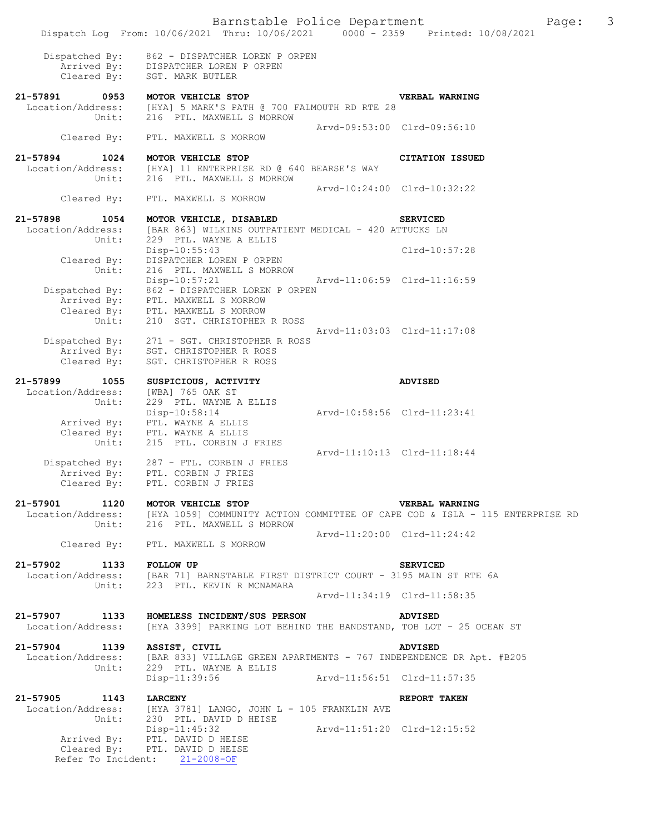Arvd-09:53:00 Clrd-09:56:10

 Dispatched By: 862 - DISPATCHER LOREN P ORPEN Arrived By: DISPATCHER LOREN P ORPEN Cleared By: SGT. MARK BUTLER

Cleared By: PTL. MAXWELL S MORROW

**21-57891 0953 MOTOR VEHICLE STOP VERBAL WARNING**  Location/Address: [HYA] 5 MARK'S PATH @ 700 FALMOUTH RD RTE 28<br>Unit: 216 PTL. MAXWELL S MORROW

Cleared By: PTL. MAXWELL S MORROW

**21-57894 1024 MOTOR VEHICLE STOP CITATION ISSUED**  Location/Address: [HYA] 11 ENTERPRISE RD @ 640 BEARSE'S WAY<br>Unit: 216 PTL. MAXWELL S MORROW 216 PTL. MAXWELL S MORROW Arvd-10:24:00 Clrd-10:32:22

216 PTL. MAXWELL S MORROW

**21-57898 1054 MOTOR VEHICLE, DISABLED SERVICED**  Location/Address: [BAR 863] WILKINS OUTPATIENT MEDICAL - 420 ATTUCKS LN Unit: 229 PTL. WAYNE A ELLIS Disp-10:55:43 Clrd-10:57:28 Cleared By: DISPATCHER LOREN P ORPEN Unit: 216 PTL. MAXWELL S MORROW Disp-10:57:21 Arvd-11:06:59 Clrd-11:16:59 Dispatched By: 862 - DISPATCHER LOREN P ORPEN Arrived By: PTL. MAXWELL S MORROW Cleared By: PTL. MAXWELL S MORROW Unit: 210 SGT. CHRISTOPHER R ROSS Arvd-11:03:03 Clrd-11:17:08

 Dispatched By: 271 - SGT. CHRISTOPHER R ROSS Arrived By: SGT. CHRISTOPHER R ROSS Cleared By: SGT. CHRISTOPHER R ROSS

**21-57899 1055 SUSPICIOUS, ACTIVITY ADVISED**  Location/Address: [WBA] 765 OAK ST Unit: 229 PTL. WAYNE A ELLIS Disp-10:58:14 Arvd-10:58:56 Clrd-11:23:41 Arrived By: PTL. WAYNE A ELLIS Cleared By: PTL. WAYNE A ELLIS Unit: 215 PTL. CORBIN J FRIES Arvd-11:10:13 Clrd-11:18:44 Dispatched By: 287 - PTL. CORBIN J FRIES Arrived By: PTL. CORBIN J FRIES

 Cleared By: PTL. CORBIN J FRIES **21-57901 1120 MOTOR VEHICLE STOP VERBAL WARNING**  Location/Address: [HYA 1059] COMMUNITY ACTION COMMITTEE OF CAPE COD & ISLA - 115 ENTERPRISE RD Unit: 216 PTL. MAXWELL S MORROW

Cleared By: PTL. MAXWELL S MORROW

**21-57902 1133 FOLLOW UP SERVICED**  Location/Address: [BAR 71] BARNSTABLE FIRST DISTRICT COURT - 3195 MAIN ST RTE 6A Unit: 223 PTL. KEVIN R MCNAMARA Arvd-11:34:19 Clrd-11:58:35

**21-57907 1133 HOMELESS INCIDENT/SUS PERSON ADVISED**  Location/Address: [HYA 3399] PARKING LOT BEHIND THE BANDSTAND, TOB LOT - 25 OCEAN ST

**21-57904 1139 ASSIST, CIVIL ADVISED**  Location/Address: [BAR 833] VILLAGE GREEN APARTMENTS - 767 INDEPENDENCE DR Apt. #B205<br>Unit: 229 PTL. WAYNE A ELLIS

229 PTL. WAYNE A ELLIS Disp-11:39:56 Arvd-11:56:51 Clrd-11:57:35

**21-57905 1143 LARCENY REPORT TAKEN**  Location/Address: [HYA 3781] LANGO, JOHN L - 105 FRANKLIN AVE Unit: 230 PTL. DAVID D HEISE Disp-11:45:32 Arvd-11:51:20 Clrd-12:15:52 Arrived By: PTL. DAVID D HEISE Cleared By: PTL. DAVID D HEISE Refer To Incident: 21-2008-OF

Arvd-11:20:00 Clrd-11:24:42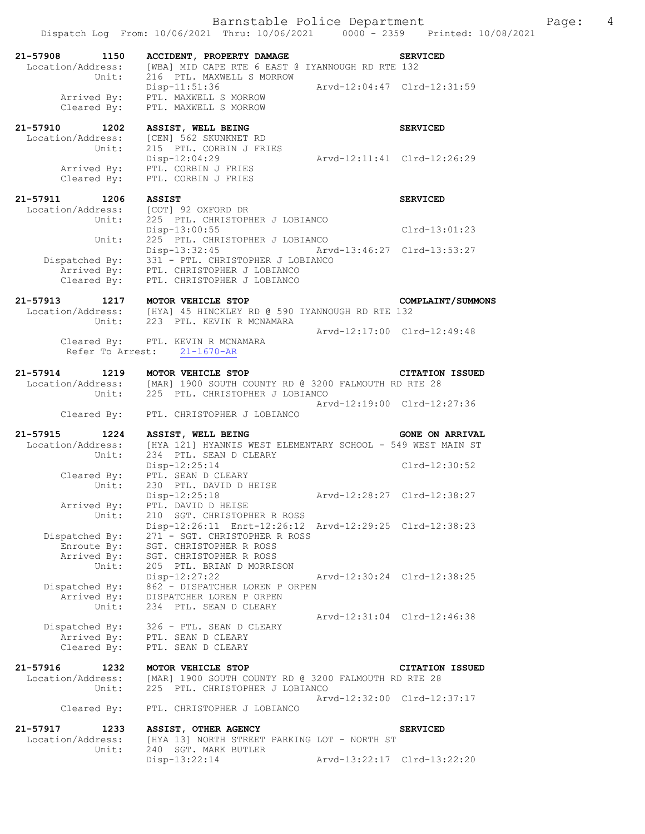Barnstable Police Department Fage: 4 Dispatch Log From: 10/06/2021 Thru: 10/06/2021 0000 - 2359 Printed: 10/08/2021

| 21-57908<br>Location/Address: | 1150<br>Unit: | ACCIDENT, PROPERTY DAMAGE<br>[WBA] MID CAPE RTE 6 EAST @ IYANNOUGH RD RTE 132<br>216 PTL, MAXWELL S MORROW |                             | <b>SERVICED</b> |
|-------------------------------|---------------|------------------------------------------------------------------------------------------------------------|-----------------------------|-----------------|
| Arrived By:                   | Cleared By:   | $Disp-11:51:36$<br>PTL. MAXWELL S MORROW<br>PTL. MAXWELL S MORROW                                          | Aryd-12:04:47 Clrd-12:31:59 |                 |
| 21-57910<br>Location/Address: | 1202<br>Unit: | ASSIST, WELL BEING<br>[CEN] 562 SKUNKNET RD<br>215 PTL. CORBIN J FRIES                                     |                             | <b>SERVICED</b> |
|                               |               | Disp-12:04:29                                                                                              |                             |                 |

| 21-57911<br>1206<br>Location/Address: | ASSIST<br>[COT] 92 OXFORD DR                 | <b>SERVICED</b> |
|---------------------------------------|----------------------------------------------|-----------------|
|                                       |                                              |                 |
| Unit:                                 | 225 PTL. CHRISTOPHER J LOBIANCO              |                 |
|                                       | Disp-13:00:55                                | $Clrd-13:01:23$ |
| Unit:                                 | 225 PTL. CHRISTOPHER J LOBIANCO              |                 |
|                                       | Arvd-13:46:27 Clrd-13:53:27<br>Disp-13:32:45 |                 |
| Dispatched By:                        | 331 - PTL. CHRISTOPHER J LOBIANCO            |                 |
| Arrived By:                           | PTL. CHRISTOPHER J LOBIANCO                  |                 |
| Cleared By:                           | PTL. CHRISTOPHER J LOBIANCO                  |                 |

### **21-57913 1217 MOTOR VEHICLE STOP COMPLAINT/SUMMONS**  Location/Address: [HYA] 45 HINCKLEY RD @ 590 IYANNOUGH RD RTE 132 Unit: 223 PTL. KEVIN R MCNAMARA Arvd-12:17:00 Clrd-12:49:48<br>Cleared By: PTL. KEVIN R MCNAMARA PTL. KEVIN R MCNAMARA Refer To Arrest: 21-1670-AR

| 21-57914<br>1219  | MOTOR VEHICLE STOP<br><b>CITATION ISSUED</b>         |
|-------------------|------------------------------------------------------|
| Location/Address: | [MAR] 1900 SOUTH COUNTY RD @ 3200 FALMOUTH RD RTE 28 |
|                   | Unit: 225 PTL, CHRISTOPHER J LOBIANCO                |
|                   | Arvd-12:19:00 Clrd-12:27:36                          |
|                   | Cleared By: PTL. CHRISTOPHER J LOBIANCO              |

| 21-57915          | 1224           | ASSIST, WELL BEING                                          |                             | <b>GONE ON ARRIVAL</b> |
|-------------------|----------------|-------------------------------------------------------------|-----------------------------|------------------------|
| Location/Address: |                | [HYA 121] HYANNIS WEST ELEMENTARY SCHOOL - 549 WEST MAIN ST |                             |                        |
|                   | Unit:          | 234 PTL. SEAN D CLEARY                                      |                             |                        |
|                   |                | $Disp-12:25:14$                                             |                             | $Clrd-12:30:52$        |
|                   | Cleared By:    | PTL. SEAN D CLEARY                                          |                             |                        |
|                   |                | Unit: 230 PTL. DAVID D HEISE                                |                             |                        |
|                   |                | $Disp-12:25:18$                                             | Arvd-12:28:27 Clrd-12:38:27 |                        |
|                   | Arrived By:    | PTL. DAVID D HEISE                                          |                             |                        |
|                   |                | Unit: 210 SGT. CHRISTOPHER R ROSS                           |                             |                        |
|                   |                | Disp-12:26:11 Enrt-12:26:12 Arvd-12:29:25 Clrd-12:38:23     |                             |                        |
|                   | Dispatched By: | 271 – SGT. CHRISTOPHER R ROSS                               |                             |                        |
|                   | Enroute By:    | SGT. CHRISTOPHER R ROSS                                     |                             |                        |
|                   | Arrived By:    | SGT. CHRISTOPHER R ROSS                                     |                             |                        |
|                   | Unit:          | 205 PTL. BRIAN D MORRISON                                   |                             |                        |
|                   |                | $Disp-12:27:22$                                             | Arvd-12:30:24 Clrd-12:38:25 |                        |
|                   | Dispatched By: | 862 - DISPATCHER LOREN P ORPEN                              |                             |                        |
|                   | Arrived By:    | DISPATCHER LOREN P ORPEN                                    |                             |                        |
|                   | Unit:          | 234 PTL. SEAN D CLEARY                                      |                             |                        |
|                   |                |                                                             | Arvd-12:31:04 Clrd-12:46:38 |                        |
|                   |                |                                                             |                             |                        |

 Dispatched By: 326 - PTL. SEAN D CLEARY Arrived By: PTL. SEAN D CLEARY Cleared By: PTL. SEAN D CLEARY

**21-57916 1232 MOTOR VEHICLE STOP CITATION ISSUED**  Location/Address: [MAR] 1900 SOUTH COUNTY RD @ 3200 FALMOUTH RD RTE 28 Unit: 225 PTL. CHRISTOPHER J LOBIANCO Arvd-12:32:00 Clrd-12:37:17 Cleared By: PTL. CHRISTOPHER J LOBIANCO

### **21-57917 1233 ASSIST, OTHER AGENCY SERVICED**  Location/Address: [HYA 13] NORTH STREET PARKING LOT - NORTH ST Unit: 240 SGT. MARK BUTLER Disp-13:22:14 Arvd-13:22:17 Clrd-13:22:20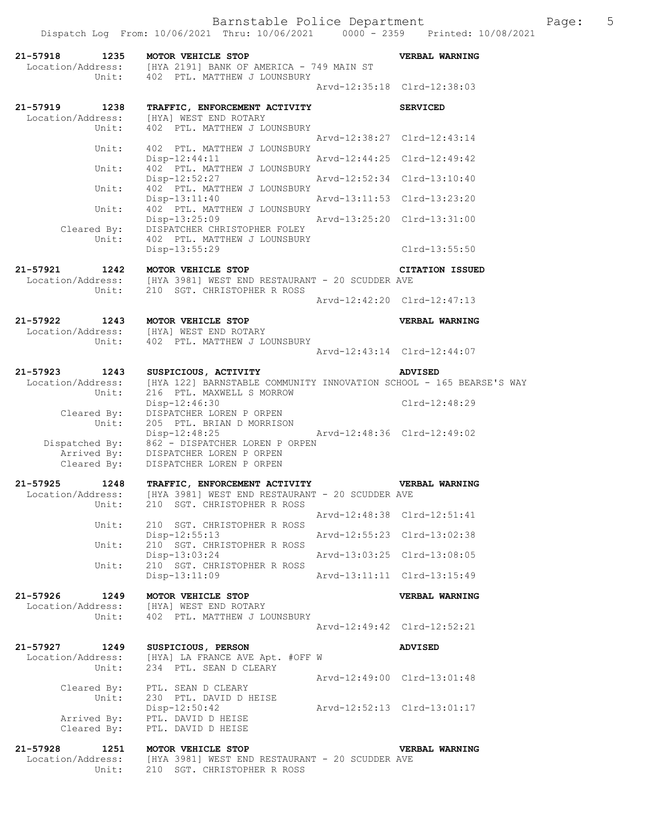Dispatch Log From: 10/06/2021 Thru: 10/06/2021 0000 - 2359 Printed: 10/08/2021

| 21-57918<br>1235<br>Unit:                          | MOTOR VEHICLE STOP<br>Location/Address: [HYA 2191] BANK OF AMERICA - 749 MAIN ST<br>402 PTL. MATTHEW J LOUNSBURY         |                             | VERBAL WARNING              |
|----------------------------------------------------|--------------------------------------------------------------------------------------------------------------------------|-----------------------------|-----------------------------|
|                                                    |                                                                                                                          |                             | Arvd-12:35:18 Clrd-12:38:03 |
| 21-57919<br>1238                                   | TRAFFIC, ENFORCEMENT ACTIVITY                                                                                            |                             | <b>SERVICED</b>             |
| Location/Address:<br>Unit:                         | [HYA] WEST END ROTARY<br>402 PTL. MATTHEW J LOUNSBURY                                                                    |                             |                             |
| Unit:                                              | 402 PTL. MATTHEW J LOUNSBURY                                                                                             |                             | Arvd-12:38:27 Clrd-12:43:14 |
| Unit:                                              | Disp-12:44:11<br>402 PTL. MATTHEW J LOUNSBURY                                                                            | Arvd-12:44:25 Clrd-12:49:42 |                             |
|                                                    | Disp-12:52:27<br>402 PTL. MATTHEW J LOUNSBURY                                                                            | Arvd-12:52:34 Clrd-13:10:40 |                             |
| Unit:                                              | Disp-13:11:40                                                                                                            | Arvd-13:11:53 Clrd-13:23:20 |                             |
| Unit:                                              | 402 PTL. MATTHEW J LOUNSBURY<br>Disp-13:25:09                                                                            | Arvd-13:25:20 Clrd-13:31:00 |                             |
| Cleared By:<br>Unit:                               | DISPATCHER CHRISTOPHER FOLEY<br>402 PTL. MATTHEW J LOUNSBURY                                                             |                             |                             |
|                                                    | Disp-13:55:29                                                                                                            |                             | $Clrd-13:55:50$             |
| 21-57921<br>1242<br>Unit:                          | MOTOR VEHICLE STOP<br>Location/Address: [HYA 3981] WEST END RESTAURANT - 20 SCUDDER AVE<br>210 SGT. CHRISTOPHER R ROSS   |                             | <b>CITATION ISSUED</b>      |
|                                                    |                                                                                                                          |                             | Arvd-12:42:20 Clrd-12:47:13 |
| 21-57922<br>1243                                   | MOTOR VEHICLE STOP                                                                                                       |                             | VERBAL WARNING              |
| Unit:                                              | Location/Address: [HYA] WEST END ROTARY<br>402 PTL. MATTHEW J LOUNSBURY                                                  |                             |                             |
|                                                    |                                                                                                                          |                             | Arvd-12:43:14 Clrd-12:44:07 |
| $21 - 57923$<br>1243<br>Location/Address:<br>Unit: | SUSPICIOUS, ACTIVITY<br>[HYA 122] BARNSTABLE COMMUNITY INNOVATION SCHOOL - 165 BEARSE'S WAY<br>216 PTL. MAXWELL S MORROW |                             | <b>ADVISED</b>              |
| Cleared By:                                        | Disp-12:46:30<br>DISPATCHER LOREN P ORPEN                                                                                |                             | Clrd-12:48:29               |
| Unit:                                              | 205 PTL. BRIAN D MORRISON<br>Disp-12:48:25                                                                               |                             | Arvd-12:48:36 Clrd-12:49:02 |
| Cleared By:                                        | Dispatched By: 862 - DISPATCHER LOREN P ORPEN<br>Arrived By: DISPATCHER LOREN P ORPEN<br>DISPATCHER LOREN P ORPEN        |                             |                             |
| $21 - 57925$<br>1248<br>Location/Address:          | TRAFFIC, ENFORCEMENT ACTIVITY<br>[HYA 3981] WEST END RESTAURANT - 20 SCUDDER AVE                                         |                             | <b>VERBAL WARNING</b>       |
| Unit:                                              | 210 SGT. CHRISTOPHER R ROSS                                                                                              |                             | Arvd-12:48:38 Clrd-12:51:41 |
| Unit:                                              | 210 SGT. CHRISTOPHER R ROSS<br>Disp-12:55:13                                                                             |                             | Arvd-12:55:23 Clrd-13:02:38 |
| Unit:                                              | 210 SGT. CHRISTOPHER R ROSS<br>Disp-13:03:24                                                                             |                             | Arvd-13:03:25 Clrd-13:08:05 |
| Unit:                                              | 210 SGT. CHRISTOPHER R ROSS<br>Disp-13:11:09                                                                             |                             | Arvd-13:11:11 Clrd-13:15:49 |
| 21-57926<br>1249<br>Location/Address:              | MOTOR VEHICLE STOP<br>[HYA] WEST END ROTARY                                                                              |                             | <b>VERBAL WARNING</b>       |
| Unit:                                              | 402 PTL. MATTHEW J LOUNSBURY                                                                                             |                             | Arvd-12:49:42 Clrd-12:52:21 |
| 21-57927<br>1249                                   | SUSPICIOUS, PERSON                                                                                                       |                             | <b>ADVISED</b>              |
| Location/Address:<br>Unit:                         | [HYA] LA FRANCE AVE Apt. #OFF W<br>234 PTL. SEAN D CLEARY                                                                |                             |                             |
| Cleared By:                                        | PTL. SEAN D CLEARY                                                                                                       |                             | Arvd-12:49:00 Clrd-13:01:48 |
| Unit:                                              | 230 PTL. DAVID D HEISE<br>Disp-12:50:42                                                                                  |                             | Arvd-12:52:13 Clrd-13:01:17 |
| Arrived By:<br>Cleared By:                         | PTL. DAVID D HEISE<br>PTL. DAVID D HEISE                                                                                 |                             |                             |

**21-57928 1251 MOTOR VEHICLE STOP VERBAL WARNING**  Location/Address: [HYA 3981] WEST END RESTAURANT - 20 SCUDDER AVE Unit: 210 SGT. CHRISTOPHER R ROSS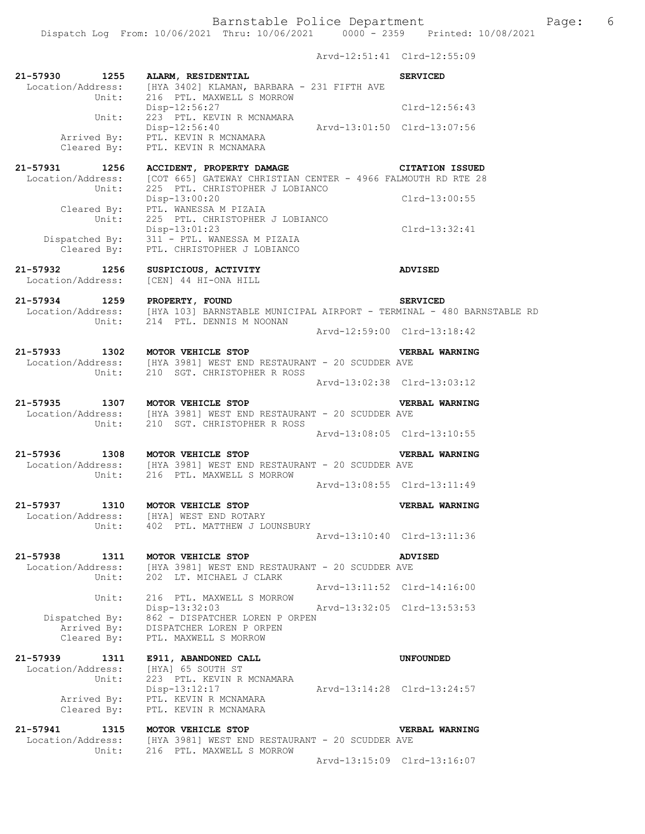Barnstable Police Department Fage: 6 Dispatch Log From: 10/06/2021 Thru: 10/06/2021 0000 - 2359 Printed: 10/08/2021 Arvd-12:51:41 Clrd-12:55:09 **21-57930 1255 ALARM, RESIDENTIAL SERVICED**  Location/Address: [HYA 3402] KLAMAN, BARBARA - 231 FIFTH AVE Unit: 216 PTL. MAXWELL S MORROW Disp-12:56:27 Clrd-12:56:43 Unit: 223 PTL. KEVIN R MCNAMARA Disp-12:56:40 Arvd-13:01:50 Clrd-13:07:56 Arrived By: PTL. KEVIN R MCNAMARA Cleared By: PTL. KEVIN R MCNAMARA **21-57931 1256 ACCIDENT, PROPERTY DAMAGE CITATION ISSUED**  Location/Address: [COT 665] GATEWAY CHRISTIAN CENTER - 4966 FALMOUTH RD RTE 28<br>Unit: 225 PTL. CHRISTOPHER J LOBIANCO 225 PTL. CHRISTOPHER J LOBIANCO<br>Disp-13:00:20 Disp-13:00:20 Clrd-13:00:55 Cleared By: PTL. WANESSA M PIZAIA Unit: 225 PTL. CHRISTOPHER J LOBIANCO Disp-13:01:23 Clrd-13:32:41 Dispatched By: 311 - PTL. WANESSA M PIZAIA Cleared By: PTL. CHRISTOPHER J LOBIANCO **21-57932 1256 SUSPICIOUS, ACTIVITY ADVISED**  Location/Address: [CEN] 44 HI-ONA HILL **21-57934 1259 PROPERTY, FOUND SERVICED**  [HYA 103] BARNSTABLE MUNICIPAL AIRPORT - TERMINAL - 480 BARNSTABLE RD Unit: 214 PTL. DENNIS M NOONAN Arvd-12:59:00 Clrd-13:18:42 **21-57933 1302 MOTOR VEHICLE STOP VERBAL WARNING**  Location/Address: [HYA 3981] WEST END RESTAURANT - 20 SCUDDER AVE Unit: 210 SGT. CHRISTOPHER R ROSS Arvd-13:02:38 Clrd-13:03:12 **21-57935 1307 MOTOR VEHICLE STOP VERBAL WARNING**  Location/Address: [HYA 3981] WEST END RESTAURANT - 20 SCUDDER AVE Unit: 210 SGT. CHRISTOPHER R ROSS Arvd-13:08:05 Clrd-13:10:55 **21-57936 1308 MOTOR VEHICLE STOP VERBAL WARNING**  Location/Address: [HYA 3981] WEST END RESTAURANT - 20 SCUDDER AVE Unit: 216 PTL. MAXWELL S MORROW Arvd-13:08:55 Clrd-13:11:49 **21-57937 1310 MOTOR VEHICLE STOP VERBAL WARNING**  Location/Address: [HYA] WEST END ROTARY Unit: 402 PTL. MATTHEW J LOUNSBURY Arvd-13:10:40 Clrd-13:11:36 **21-57938 1311 MOTOR VEHICLE STOP ADVISED**  Location/Address: [HYA 3981] WEST END RESTAURANT - 20 SCUDDER AVE Unit: 202 LT. MICHAEL J CLARK Arvd-13:11:52 Clrd-14:16:00 Unit: 216 PTL. MAXWELL S MORROW Disp-13:32:03 Arvd-13:32:05 Clrd-13:53:53 Dispatched By: 862 - DISPATCHER LOREN P ORPEN Arrived By: DISPATCHER LOREN P ORPEN Cleared By: PTL. MAXWELL S MORROW **21-57939 1311 E911, ABANDONED CALL UNFOUNDED**  Location/Address: [HYA] 65 SOUTH ST<br>Unit: 223 PTL. KEVIN R MCN 223 PTL. KEVIN R MCNAMARA<br>Disp-13:12:17 Disp-13:12:17 Arvd-13:14:28 Clrd-13:24:57 Arrived By: PTL. KEVIN R MCNAMARA Cleared By: PTL. KEVIN R MCNAMARA

**21-57941 1315 MOTOR VEHICLE STOP VERBAL WARNING**  Location/Address: [HYA 3981] WEST END RESTAURANT - 20 SCUDDER AVE Unit: 216 PTL. MAXWELL S MORROW Arvd-13:15:09 Clrd-13:16:07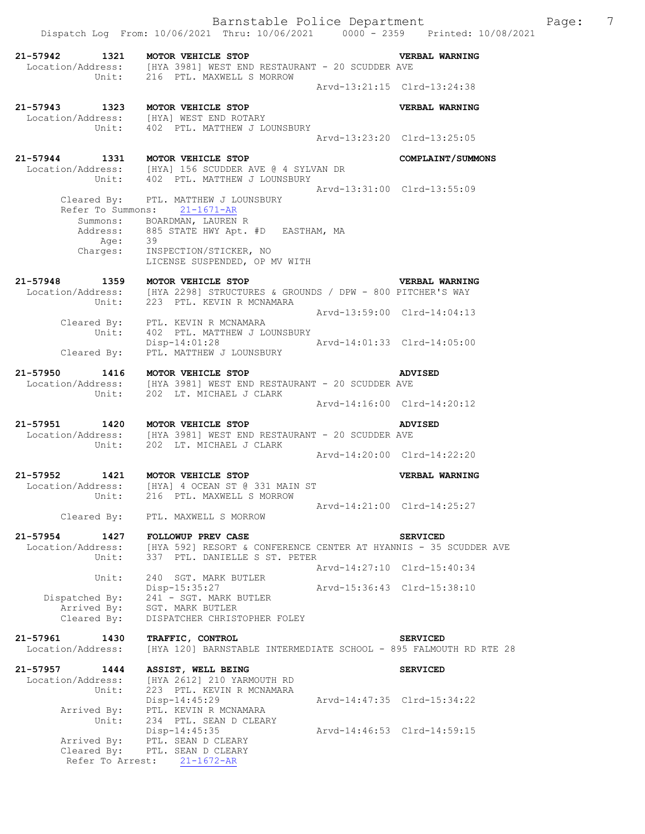|                                        | Dispatch Log From: 10/06/2021 Thru: 10/06/2021 0000 - 2359 Printed: 10/08/2021                                                                                                                        |                             |                                                            |
|----------------------------------------|-------------------------------------------------------------------------------------------------------------------------------------------------------------------------------------------------------|-----------------------------|------------------------------------------------------------|
|                                        | 21-57942 1321 MOTOR VEHICLE STOP<br>Location/Address: [HYA 3981] WEST END RESTAURANT - 20 SCUDDER AVE Unit: 216 PTL. MAXWELL S MORROW                                                                 |                             | <b>VERBAL WARNING</b>                                      |
|                                        |                                                                                                                                                                                                       | Arvd-13:21:15 Clrd-13:24:38 |                                                            |
|                                        | 21-57943 1323 MOTOR VEHICLE STOP<br>Location/Address: [HYA] WEST END ROTARY<br>Unit: 402 PTL. MATTHEW J LOUNSBURY                                                                                     |                             | <b>VERBAL WARNING</b>                                      |
|                                        |                                                                                                                                                                                                       | Arvd-13:23:20 Clrd-13:25:05 |                                                            |
|                                        | 21-57944 1331 MOTOR VEHICLE STOP COMPLAINT/SUMMONS<br>Location/Address: [HYA] 156 SCUDDER AVE @ 4 SYLVAN DR<br>Unit: 402 PTL. MATTHEW J LOUNSBURY                                                     |                             |                                                            |
|                                        | Cleared By: PTL. MATTHEW J LOUNSBURY<br>Refer To Summons: 21-1671-AR<br>Summons: BOARDMAN, LAUREN R<br>Address: 885 STATE HWY Apt. #D EASTHAM, MA<br>Age: 39<br>Charges: INSPECTION/STICKER, NO       | Arvd-13:31:00 Clrd-13:55:09 |                                                            |
|                                        | LICENSE SUSPENDED, OP MV WITH                                                                                                                                                                         |                             |                                                            |
|                                        | 21-57948 1359 MOTOR VEHICLE STOP<br>Location/Address: [HYA 2298] STRUCTURES & GROUNDS / DPW - 800 PITCHER'S WAY<br>Unit: 223 PTL. KEVIN R MCNAMARA                                                    |                             | <b>VERBAL WARNING</b>                                      |
|                                        | Cleared By: PTL. KEVIN R MCNAMARA<br>Unit: 402 PTL. MATTHEW J LOUNSBURY                                                                                                                               | Arvd-13:59:00 Clrd-14:04:13 |                                                            |
|                                        | $\begin{tabular}{lllll} \bf \texttt{Disp-14:01:28} & \tt \texttt{Arvd-14:01:33} & \tt \texttt{C1rd-14:05:00} \\ \bf \texttt{Cleared By:} & \tt \texttt{PTL. MATTHEW J LOUNSBURY} & \tt \end{tabular}$ |                             |                                                            |
|                                        | 21-57950 1416 MOTOR VEHICLE STOP<br>Location/Address: [HYA 3981] WEST END RESTAURANT - 20 SCUDDER AVE Unit: 202 LT. MICHAEL J CLARK                                                                   |                             | ADVISED                                                    |
|                                        |                                                                                                                                                                                                       | Arvd-14:16:00 Clrd-14:20:12 |                                                            |
|                                        | 21-57951 1420 MOTOR VEHICLE STOP<br>Location/Address: [HYA 3981] WEST END RESTAURANT - 20 SCUDDER AVE Unit: 202 LT. MICHAEL J CLARK                                                                   |                             | <b>ADVISED</b>                                             |
|                                        |                                                                                                                                                                                                       | Arvd-14:20:00 Clrd-14:22:20 |                                                            |
| 21-57952                               | 1421 MOTOR VEHICLE STOP<br>Location/Address: [HYA] 4 OCEAN ST @ 331 MAIN ST<br>Unit: 216 PTL. MAXWELL S MORROW                                                                                        |                             | <b>VERBAL WARNING</b>                                      |
|                                        | Cleared By: PTL. MAXWELL S MORROW                                                                                                                                                                     |                             | Arvd-14:21:00 Clrd-14:25:27                                |
| 21-57954<br>Location/Address:<br>Unit: | 1427 FOLLOWUP PREV CASE<br>[HYA 592] RESORT & CONFERENCE CENTER AT HYANNIS - 35 SCUDDER AVE<br>337 PTL. DANIELLE S ST. PETER                                                                          |                             | <b>SERVICED</b>                                            |
| Unit:                                  | 240 SGT. MARK BUTLER<br>Disp-15:35:27                                                                                                                                                                 |                             | Arvd-14:27:10 Clrd-15:40:34<br>Arvd-15:36:43 Clrd-15:38:10 |
| Dispatched By:<br>Cleared By:          | 241 - SGT. MARK BUTLER<br>patched By: 241 - SGT. MARK E<br>Arrived By: SGT. MARK BUTLER<br>DISPATCHER CHRISTOPHER FOLEY                                                                               |                             |                                                            |
| 21-57961<br>1430<br>Location/Address:  | TRAFFIC, CONTROL<br>[HYA 120] BARNSTABLE INTERMEDIATE SCHOOL - 895 FALMOUTH RD RTE 28                                                                                                                 |                             | <b>SERVICED</b>                                            |
| 21-57957<br>1444                       | ASSIST, WELL BEING                                                                                                                                                                                    |                             | <b>SERVICED</b>                                            |
| Location/Address:<br>Unit:             | [HYA 2612] 210 YARMOUTH RD<br>223 PTL. KEVIN R MCNAMARA<br>Disp-14:45:29                                                                                                                              |                             | Arvd-14:47:35 Clrd-15:34:22                                |
| Arrived By:<br>Unit:                   | PTL. KEVIN R MCNAMARA<br>234 PTL. SEAN D CLEARY                                                                                                                                                       |                             |                                                            |
|                                        | $Disp-14:45:35$                                                                                                                                                                                       |                             | Arvd-14:46:53 Clrd-14:59:15                                |

 Arrived By: PTL. SEAN D CLEARY Cleared By: PTL. SEAN D CLEARY

Refer To Arrest: 21-1672-AR

Barnstable Police Department Fage: 7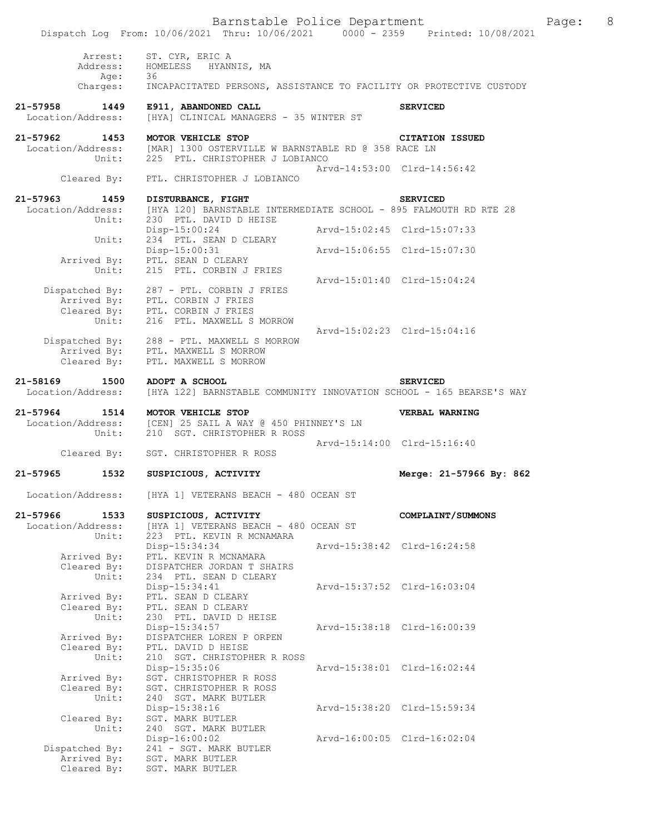|                                           | Barnstable Police Department<br>Dispatch Log From: 10/06/2021 Thru: 10/06/2021 0000 - 2359 Printed: 10/08/2021                              |                             |                             |
|-------------------------------------------|---------------------------------------------------------------------------------------------------------------------------------------------|-----------------------------|-----------------------------|
|                                           | Arrest: ST. CYR, ERIC A<br>Address: HOMELESS HYANNIS, MA<br>Age: 36                                                                         |                             |                             |
|                                           | Charges: INCAPACITATED PERSONS, ASSISTANCE TO FACILITY OR PROTECTIVE CUSTODY                                                                |                             |                             |
| Location/Address:                         | 21-57958 1449 E911, ABANDONED CALL<br>[HYA] CLINICAL MANAGERS - 35 WINTER ST                                                                |                             | <b>SERVICED</b>             |
| 1453<br>21-57962                          | MOTOR VEHICLE STOP                                                                                                                          |                             | <b>CITATION ISSUED</b>      |
|                                           | Location/Address: [MAR] 1300 OSTERVILLE W BARNSTABLE RD @ 358 RACE LN Unit: 225 PTL. CHRISTOPHER J LOBIANCO                                 |                             |                             |
|                                           | Cleared By: PTL. CHRISTOPHER J LOBIANCO                                                                                                     |                             | Arvd-14:53:00 Clrd-14:56:42 |
| 21-57963<br>1459                          | DISTURBANCE, FIGHT                                                                                                                          |                             | <b>SERVICED</b>             |
| Unit:                                     | Location/Address: [HYA 120] BARNSTABLE INTERMEDIATE SCHOOL - 895 FALMOUTH RD RTE 28<br>230 PTL. DAVID D HEISE                               |                             |                             |
| Unit:                                     | $Disp-15:00:24$<br>234 PTL. SEAN D CLEARY                                                                                                   | Arvd-15:02:45 Clrd-15:07:33 |                             |
|                                           | Disp-15:00:31<br>Arrived By: PTL. SEAN D CLEARY                                                                                             | Arvd-15:06:55 Clrd-15:07:30 |                             |
| Unit:                                     | 215 PTL. CORBIN J FRIES                                                                                                                     | Arvd-15:01:40 Clrd-15:04:24 |                             |
| Unit:                                     | Dispatched By: 287 - PTL. CORBIN J FRIES<br>Arrived By: PTL. CORBIN J FRIES<br>Cleared By: PTL. CORBIN J FRIES<br>216 PTL. MAXWELL S MORROW |                             |                             |
|                                           | Dispatched By: 288 - PTL. MAXWELL S MORROW<br>Arrived By: PTL. MAXWELL S MORROW<br>Cleared By: PTL. MAXWELL S MORROW                        |                             | Arvd-15:02:23 Clrd-15:04:16 |
| 21-58169 1500 ADOPT A SCHOOL              | Location/Address: [HYA 122] BARNSTABLE COMMUNITY INNOVATION SCHOOL - 165 BEARSE'S WAY                                                       |                             | <b>SERVICED</b>             |
| 21-57964 1514 MOTOR VEHICLE STOP<br>Unit: | Location/Address: [CEN] 25 SAIL A WAY @ 450 PHINNEY'S LN<br>210 SGT. CHRISTOPHER R ROSS                                                     |                             | <b>VERBAL WARNING</b>       |
|                                           | Cleared By: SGT. CHRISTOPHER R ROSS                                                                                                         |                             | Arvd-15:14:00 Clrd-15:16:40 |
| 21-57965<br>1532                          | SUSPICIOUS, ACTIVITY                                                                                                                        |                             | Merge: 21-57966 By: 862     |
| Location/Address:                         | [HYA 1] VETERANS BEACH - 480 OCEAN ST                                                                                                       |                             |                             |
| 21-57966<br>1533<br>Location/Address:     | SUSPICIOUS, ACTIVITY<br>[HYA 1] VETERANS BEACH - 480 OCEAN ST                                                                               |                             | COMPLAINT/SUMMONS           |
| Unit:                                     | 223 PTL. KEVIN R MCNAMARA                                                                                                                   |                             |                             |
|                                           | Disp-15:34:34                                                                                                                               |                             | Arvd-15:38:42 Clrd-16:24:58 |
| Arrived By:<br>Cleared By:<br>Unit:       | PTL. KEVIN R MCNAMARA<br>DISPATCHER JORDAN T SHAIRS<br>234 PTL. SEAN D CLEARY                                                               |                             |                             |
| Arrived By:                               | Disp-15:34:41<br>PTL. SEAN D CLEARY                                                                                                         |                             | Arvd-15:37:52 Clrd-16:03:04 |
| Cleared By:<br>Unit:                      | PTL. SEAN D CLEARY<br>230 PTL. DAVID D HEISE                                                                                                |                             |                             |
| Arrived By:<br>Cleared By:                | Disp-15:34:57<br>DISPATCHER LOREN P ORPEN<br>PTL. DAVID D HEISE                                                                             |                             | Arvd-15:38:18 Clrd-16:00:39 |
| Unit:<br>Arrived By:<br>Cleared By:       | 210 SGT. CHRISTOPHER R ROSS<br>Disp-15:35:06<br>SGT. CHRISTOPHER R ROSS<br>SGT. CHRISTOPHER R ROSS                                          |                             | Arvd-15:38:01 Clrd-16:02:44 |
| Unit:<br>Cleared By:<br>Unit:             | 240 SGT. MARK BUTLER<br>Disp-15:38:16<br>SGT. MARK BUTLER<br>240 SGT. MARK BUTLER                                                           |                             | Arvd-15:38:20 Clrd-15:59:34 |

Page: 8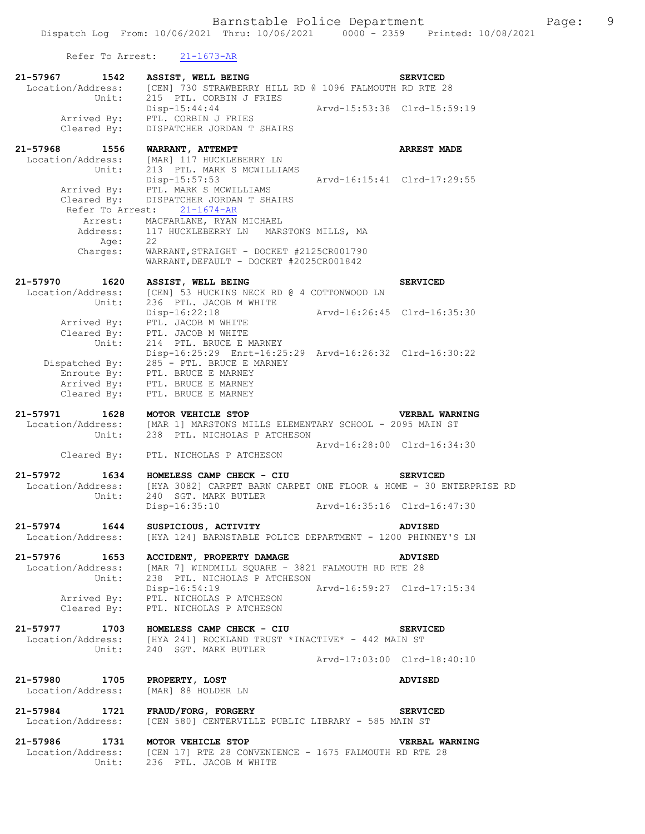Refer To Arrest: 21-1673-AR

| 21-57967 1542                      | ASSIST, WELL BEING                                                                                              |                             | <b>SERVICED</b>    |
|------------------------------------|-----------------------------------------------------------------------------------------------------------------|-----------------------------|--------------------|
| Location/Address:<br>Unit:         | [CEN] 730 STRAWBERRY HILL RD @ 1096 FALMOUTH RD RTE 28<br>215 PTL. CORBIN J FRIES                               |                             |                    |
| Arrived By:                        | $Disp-15:44:44$<br>PTL. CORBIN J FRIES                                                                          | Arvd-15:53:38 Clrd-15:59:19 |                    |
| Cleared By:                        | DISPATCHER JORDAN T SHAIRS                                                                                      |                             |                    |
| 21-57968 1556                      | WARRANT, ATTEMPT                                                                                                |                             | <b>ARREST MADE</b> |
| Location/Address:                  | [MAR] 117 HUCKLEBERRY LN                                                                                        |                             |                    |
| Unit:                              | 213 PTL. MARK S MCWILLIAMS                                                                                      |                             |                    |
|                                    | Disp-15:57:53<br>Arrived By: PTL. MARK S MCWILLIAMS                                                             | Arvd-16:15:41 Clrd-17:29:55 |                    |
|                                    | Cleared By: DISPATCHER JORDAN T SHAIRS                                                                          |                             |                    |
|                                    | Refer To Arrest: 21-1674-AR                                                                                     |                             |                    |
|                                    | Arrest: MACFARLANE, RYAN MICHAEL                                                                                |                             |                    |
| Address:                           | 117 HUCKLEBERRY LN MARSTONS MILLS, MA                                                                           |                             |                    |
| Age:<br>Charges:                   | 22<br>WARRANT, STRAIGHT - DOCKET #2125CR001790                                                                  |                             |                    |
|                                    | WARRANT, DEFAULT - DOCKET #2025CR001842                                                                         |                             |                    |
| 21-57970 1620                      |                                                                                                                 |                             | <b>SERVICED</b>    |
| Location/Address:                  | ASSIST, WELL BEING<br>[CEN] 53 HUCKINS NECK RD @ 4 COTTONWOOD LN<br>236 PTL JACOB M WILLET                      |                             |                    |
| Unit:                              | 236 PTL. JACOB M WHITE                                                                                          |                             |                    |
|                                    | Disp-16:22:18                                                                                                   | Arvd-16:26:45 Clrd-16:35:30 |                    |
| Arrived By:                        | PTL. JACOB M WHITE                                                                                              |                             |                    |
| Cleared By:<br>Unit:               | PTL. JACOB M WHITE<br>214 PTL. BRUCE E MARNEY                                                                   |                             |                    |
|                                    | Disp-16:25:29 Enrt-16:25:29 Arvd-16:26:32 Clrd-16:30:22                                                         |                             |                    |
|                                    | Dispatched By: 285 - PTL. BRUCE E MARNEY                                                                        |                             |                    |
|                                    | Enroute By: PTL. BRUCE E MARNEY                                                                                 |                             |                    |
|                                    | Arrived By: PTL. BRUCE E MARNEY                                                                                 |                             |                    |
| Cleared By:                        | PTL. BRUCE E MARNEY                                                                                             |                             |                    |
| 21-57971 1628                      | MOTOR VEHICLE STOP                                                                                              |                             | VERBAL WARNING     |
|                                    | Location/Address: [MAR 1] MARSTONS MILLS ELEMENTARY SCHOOL - 2095 MAIN ST<br>Unit: 238 PTL. NICHOLAS P ATCHESON |                             |                    |
|                                    | Cleared By: PTL. NICHOLAS P ATCHESON                                                                            | Arvd-16:28:00 Clrd-16:34:30 |                    |
| 21-57972 1634                      | HOMELESS CAMP CHECK - CIU                                                                                       |                             | <b>SERVICED</b>    |
| Location/Address:                  | [HYA 3082] CARPET BARN CARPET ONE FLOOR & HOME - 30 ENTERPRISE RD                                               |                             |                    |
| Unit:                              | 240 SGT. MARK BUTLER                                                                                            |                             |                    |
|                                    | Disp-16:35:10                                                                                                   | Arvd-16:35:16 Clrd-16:47:30 |                    |
| 21-57974 1644                      | SUSPICIOUS, ACTIVITY                                                                                            |                             | ADVISED            |
| Location/Address:                  | [HYA 124] BARNSTABLE POLICE DEPARTMENT - 1200 PHINNEY'S LN                                                      |                             |                    |
| 21-57976 1653                      | ACCIDENT, PROPERTY DAMAGE                                                                                       |                             | <b>ADVISED</b>     |
|                                    | Location/Address: [MAR 7] WINDMILL SQUARE - 3821 FALMOUTH RD RTE 28                                             |                             |                    |
| Unit:                              | 238 PTL. NICHOLAS P ATCHESON                                                                                    |                             |                    |
|                                    | $Disp-16:54:19$                                                                                                 | Arvd-16:59:27 Clrd-17:15:34 |                    |
|                                    | Arrived By: PTL. NICHOLAS P ATCHESON<br>Cleared By: PTL. NICHOLAS P ATCHESON                                    |                             |                    |
|                                    |                                                                                                                 |                             |                    |
| 21-57977 1703                      | HOMELESS CAMP CHECK - CIU                                                                                       |                             | <b>SERVICED</b>    |
| Location/Address:                  | [HYA 241] ROCKLAND TRUST *INACTIVE* - 442 MAIN ST                                                               |                             |                    |
| Unit:                              | 240 SGT. MARK BUTLER                                                                                            | Arvd-17:03:00 Clrd-18:40:10 |                    |
|                                    |                                                                                                                 |                             |                    |
| 21-57980 1705                      | PROPERTY, LOST                                                                                                  |                             | <b>ADVISED</b>     |
| Location/Address:                  | [MAR] 88 HOLDER LN                                                                                              |                             |                    |
|                                    |                                                                                                                 |                             |                    |
| 21-57984 1721<br>Location/Address: | FRAUD/FORG, FORGERY<br>[CEN 580] CENTERVILLE PUBLIC LIBRARY - 585 MAIN ST                                       |                             | <b>SERVICED</b>    |
|                                    |                                                                                                                 |                             |                    |
| 21-57986 1731                      | MOTOR VEHICLE STOP                                                                                              |                             | VERBAL WARNING     |
| Location/Address:                  | [CEN 17] RTE 28 CONVENIENCE - 1675 FALMOUTH RD RTE 28                                                           |                             |                    |
| Unit:                              | 236 PTL. JACOB M WHITE                                                                                          |                             |                    |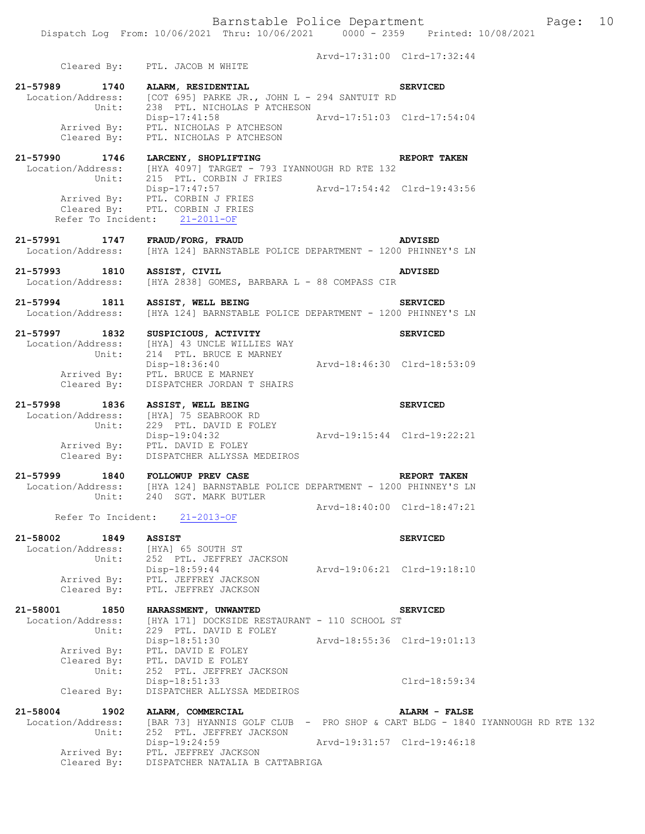Arvd-17:31:00 Clrd-17:32:44 Cleared By: PTL. JACOB M WHITE **21-57989 1740 ALARM, RESIDENTIAL SERVICED**  Location/Address: [COT 695] PARKE JR., JOHN L - 294 SANTUIT RD Unit: 238 PTL. NICHOLAS P ATCHESON<br>Disp-17:41:58 A Disp-17:41:58 Arvd-17:51:03 Clrd-17:54:04 Arrived By: PTL. NICHOLAS P ATCHESON Cleared By: PTL. NICHOLAS P ATCHESON **21-57990 1746 LARCENY, SHOPLIFTING REPORT TAKEN**  Location/Address: [HYA 4097] TARGET - 793 IYANNOUGH RD RTE 132 Unit: 215 PTL. CORBIN J FRIES Disp-17:47:57 Arvd-17:54:42 Clrd-19:43:56 Arrived By: PTL. CORBIN J FRIES Cleared By: PTL. CORBIN J FRIES Refer To Incident: 21-2011-OF **21-57991 1747 FRAUD/FORG, FRAUD ADVISED**  Location/Address: [HYA 124] BARNSTABLE POLICE DEPARTMENT - 1200 PHINNEY'S LN **21-57993 1810 ASSIST, CIVIL ADVISED**  Location/Address: [HYA 2838] GOMES, BARBARA L - 88 COMPASS CIR **21-57994 1811 ASSIST, WELL BEING SERVICED**  Location/Address: [HYA 124] BARNSTABLE POLICE DEPARTMENT - 1200 PHINNEY'S LN **21-57997 1832 SUSPICIOUS, ACTIVITY SERVICED**  Location/Address: [HYA] 43 UNCLE WILLIES WAY Unit: 214 PTL. BRUCE E MARNEY Disp-18:36:40 Arvd-18:46:30 Clrd-18:53:09 Arrived By: PTL. BRUCE E MARNEY Cleared By: DISPATCHER JORDAN T SHAIRS **21-57998 1836 ASSIST, WELL BEING SERVICED**  Location/Address: [HYA] 75 SEABROOK RD Unit: 229 PTL. DAVID E FOLEY Disp-19:04:32 Arvd-19:15:44 Clrd-19:22:21 Arrived By: PTL. DAVID E FOLEY Cleared By: DISPATCHER ALLYSSA MEDEIROS **21-57999 1840 FOLLOWUP PREV CASE REPORT TAKEN**  Location/Address: [HYA 124] BARNSTABLE POLICE DEPARTMENT - 1200 PHINNEY'S LN Unit: 240 SGT. MARK BUTLER Arvd-18:40:00 Clrd-18:47:21 Refer To Incident: 21-2013-OF **21-58002 1849 ASSIST SERVICED**  Location/Address: [HYA] 65 SOUTH ST Unit: 252 PTL. JEFFREY JACKSON Disp-18:59:44 Arvd-19:06:21 Clrd-19:18:10 Arrived By: PTL. JEFFREY JACKSON Cleared By: PTL. JEFFREY JACKSON **21-58001 1850 HARASSMENT, UNWANTED SERVICED**  Location/Address: [HYA 171] DOCKSIDE RESTAURANT - 110 SCHOOL ST Unit: 229 PTL. DAVID E FOLEY Disp-18:51:30 Arvd-18:55:36 Clrd-19:01:13 Arrived By: PTL. DAVID E FOLEY Cleared By: PTL. DAVID E FOLEY Unit: 252 PTL. JEFFREY JACKSON Disp-18:51:33 Clrd-18:59:34 Cleared By: DISPATCHER ALLYSSA MEDEIROS **21-58004 1902 ALARM, COMMERCIAL ALARM - FALSE**  [BAR 73] HYANNIS GOLF CLUB - PRO SHOP & CART BLDG - 1840 IYANNOUGH RD RTE 132 Unit: 252 PTL. JEFFREY JACKSON Disp-19:24:59 Arvd-19:31:57 Clrd-19:46:18 Arrived By: PTL. JEFFREY JACKSON<br>Cleared By: DISPATCHER NATALIA B

DISPATCHER NATALIA B CATTABRIGA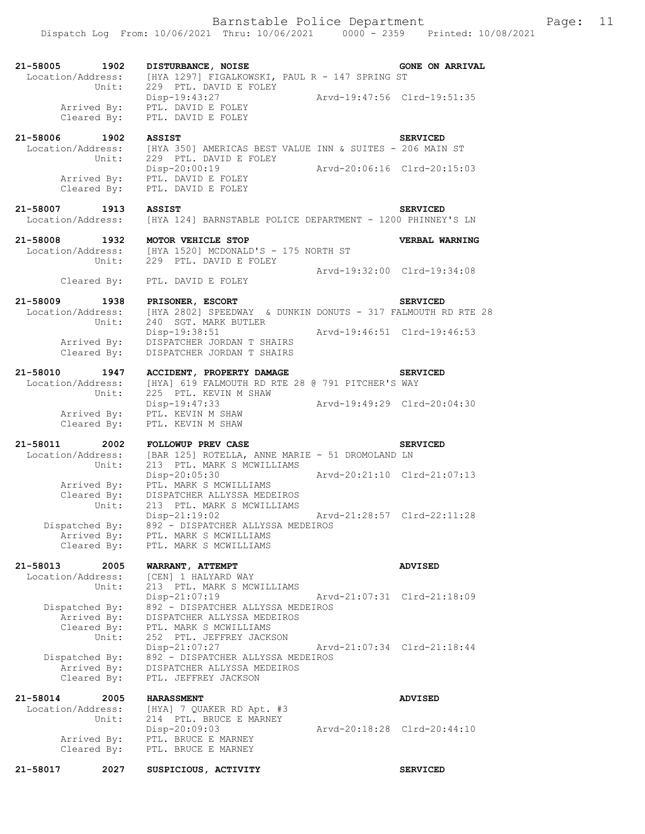| 21-58005 1902<br>Location/Address:                             | DISTURBANCE, NOISE<br>[HYA 1297] FIGALKOWSKI, PAUL R - 147 SPRING ST                                                                      | <b>GONE ON ARRIVAL</b>      |
|----------------------------------------------------------------|-------------------------------------------------------------------------------------------------------------------------------------------|-----------------------------|
| Unit:<br>Arrived By:<br>Cleared By:                            | 229 PTL. DAVID E FOLEY<br>Disp-19:43:27<br>PTL. DAVID E FOLEY<br>PTL. DAVID E FOLEY                                                       | Arvd-19:47:56 Clrd-19:51:35 |
| 21-58006 1902<br>Location/Address:<br>Unit:                    | <b>ASSIST</b><br>[HYA 350] AMERICAS BEST VALUE INN & SUITES - 206 MAIN ST<br>229 PTL. DAVID E FOLEY                                       | <b>SERVICED</b>             |
| Cleared By:                                                    | Disp-20:00:19<br>Arrived By: PTL. DAVID E FOLEY<br>PTL. DAVID E FOLEY                                                                     | Arvd-20:06:16 Clrd-20:15:03 |
| 21-58007 1913 ASSIST<br>Location/Address:                      | [HYA 124] BARNSTABLE POLICE DEPARTMENT - 1200 PHINNEY'S LN                                                                                | <b>SERVICED</b>             |
| 21-58008 1932<br>Location/Address:                             | MOTOR VEHICLE STOP<br>[HYA 1520] MCDONALD'S - 175 NORTH ST<br>Unit: 229 PTL. DAVID E FOLEY                                                | VERBAL WARNING              |
|                                                                | Cleared By: PTL. DAVID E FOLEY                                                                                                            | Arvd-19:32:00 Clrd-19:34:08 |
| 21-58009 1938<br>Location/Address:<br>Unit:                    | PRISONER, ESCORT<br>[HYA 2802] SPEEDWAY & DUNKIN DONUTS - 317 FALMOUTH RD RTE 28<br>240 SGT. MARK BUTLER                                  | <b>SERVICED</b>             |
| Arrived By:<br>Cleared By:                                     | Disp-19:38:51<br>DISPATCHER JORDAN T SHAIRS<br>DISPATCHER JORDAN T SHAIRS                                                                 | Arvd-19:46:51 Clrd-19:46:53 |
| 21-58010 1947<br>Location/Address:<br>Unit:                    | ACCIDENT, PROPERTY DAMAGE<br>[HYA] 619 FALMOUTH RD RTE 28 @ 791 PITCHER'S WAY<br>225 PTL. KEVIN M SHAW                                    | <b>SERVICED</b>             |
| Arrived By:<br>Cleared By:                                     | Disp-19:47:33 Arvd-19:49:29 Clrd-20:04:30<br>PTL. KEVIN M SHAW<br>PTL. KEVIN M SHAW                                                       |                             |
| 21-58011 2002<br>Location/Address:<br>Unit:                    | FOLLOWUP PREV CASE<br>[BAR 125] ROTELLA, ANNE MARIE - 51 DROMOLAND LN<br>213 PTL. MARK S MCWILLIAMS                                       | <b>SERVICED</b>             |
| Arrived By:<br>Cleared By:                                     | Disp-20:05:30<br>Arvd-20:21:10 Clrd-21:07:13<br>PTL. MARK S MCWILLIAMS<br>DISPATCHER ALLYSSA MEDEIROS                                     |                             |
| Unit:<br>Dispatched By:<br>Arrived By:<br>Cleared By:          | 213 PTL. MARK S MCWILLIAMS<br>Disp-21:19:02<br>892 - DISPATCHER ALLYSSA MEDEIROS<br>PTL. MARK S MCWILLIAMS<br>PTL. MARK S MCWILLIAMS      | Arvd-21:28:57 Clrd-22:11:28 |
| 21-58013<br>2005<br>Location/Address:                          | WARRANT, ATTEMPT<br>[CEN] 1 HALYARD WAY                                                                                                   | <b>ADVISED</b>              |
| Unit:<br>Dispatched By:<br>Arrived By:<br>Cleared By:<br>Unit: | 213 PTL. MARK S MCWILLIAMS<br>Disp-21:07:19<br>892 - DISPATCHER ALLYSSA MEDEIROS<br>DISPATCHER ALLYSSA MEDEIROS<br>PTL. MARK S MCWILLIAMS | Arvd-21:07:31 Clrd-21:18:09 |
| Dispatched By:<br>Arrived By:<br>Cleared By:                   | 252 PTL. JEFFREY JACKSON<br>Disp-21:07:27<br>892 - DISPATCHER ALLYSSA MEDEIROS<br>DISPATCHER ALLYSSA MEDEIROS<br>PTL. JEFFREY JACKSON     | Arvd-21:07:34 Clrd-21:18:44 |
| 21-58014<br>2005<br>Location/Address:                          | <b>HARASSMENT</b><br>[HYA] 7 QUAKER RD Apt. #3                                                                                            | <b>ADVISED</b>              |
| Unit:<br>Arrived By:<br>Cleared By:                            | 214 PTL. BRUCE E MARNEY<br>Disp-20:09:03<br>PTL. BRUCE E MARNEY<br>PTL. BRUCE E MARNEY                                                    | Arvd-20:18:28 Clrd-20:44:10 |
| 21-58017<br>2027                                               | SUSPICIOUS, ACTIVITY                                                                                                                      | <b>SERVICED</b>             |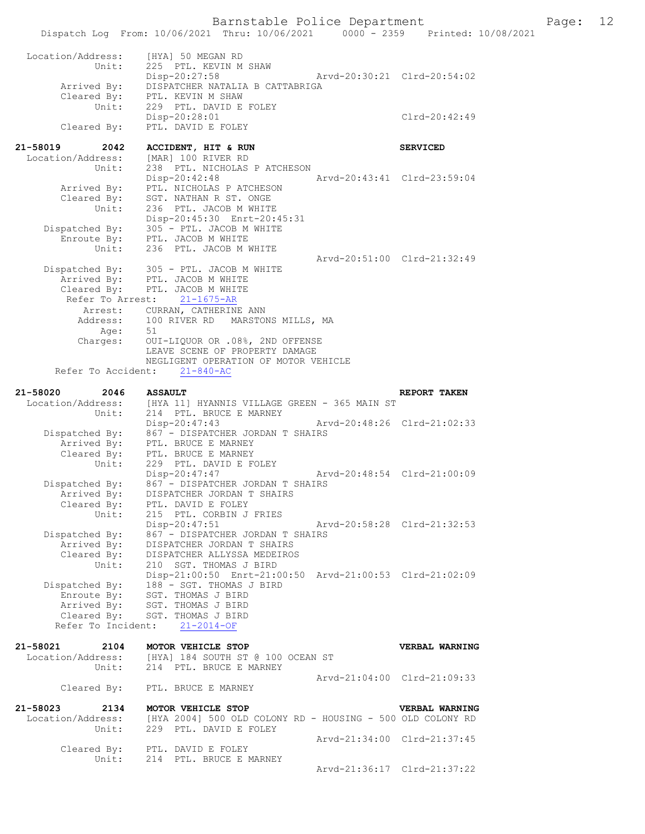Barnstable Police Department Fage: 12 Dispatch Log From: 10/06/2021 Thru: 10/06/2021 0000 - 2359 Printed: 10/08/2021 Location/Address: [HYA] 50 MEGAN RD Unit: 225 PTL. KEVIN M SHAW<br>Disp-20:27:58 Disp-20:27:58 Arvd-20:30:21 Clrd-20:54:02 Arrived By: DISPATCHER NATALIA B CATTABRIGA Cleared By: PTL. KEVIN M SHAW Unit: 229 PTL. DAVID E FOLEY Disp-20:28:01 Cleared By: PTL. DAVID E FOLEY PTL. DAVID E FOLEY **21-58019 2042 ACCIDENT, HIT & RUN SERVICED**  Location/Address: [MAR] 100 RIVER RD Unit: 238 PTL. NICHOLAS P ATCHESON Disp-20:42:48 Arvd-20:43:41 Clrd-23:59:04 Arrived By: PTL. NICHOLAS P ATCHESON Cleared By: SGT. NATHAN R ST. ONGE Unit: 236 PTL. JACOB M WHITE Disp-20:45:30 Enrt-20:45:31 Dispatched By: 305 - PTL. JACOB M WHITE Enroute By: PTL. JACOB M WHITE Unit: 236 PTL. JACOB M WHITE Arvd-20:51:00 Clrd-21:32:49 Dispatched By: 305 - PTL. JACOB M WHITE Arrived By: PTL. JACOB M WHITE Cleared By: PTL. JACOB M WHITE Refer To Arrest: 21-1675-AR Arrest: CURRAN, CATHERINE ANN Address: 100 RIVER RD MARSTONS MILLS, MA Age: 51 Charges: OUI-LIQUOR OR .08%, 2ND OFFENSE LEAVE SCENE OF PROPERTY DAMAGE NEGLIGENT OPERATION OF MOTOR VEHICLE Refer To Accident: 21-840-AC **21-58020 2046 ASSAULT REPORT TAKEN**  Location/Address: [HYA 11] HYANNIS VILLAGE GREEN - 365 MAIN ST Unit: 214 PTL. BRUCE E MARNEY Disp-20:47:43 Arvd-20:48:26 Clrd-21:02:33 Dispatched By: 867 - DISPATCHER JORDAN T SHAIRS pacched by: 007 - DISPATCHER JOR<br>Arrived By: PTL. BRUCE E MARNEY Cleared By: PTL. BRUCE E MARNEY Unit: 229 PTL. DAVID E FOLEY Disp-20:47:47 Arvd-20:48:54 Clrd-21:00:09 Dispatched By: 867 - DISPATCHER JORDAN T SHAIRS Arrived By: DISPATCHER JORDAN T SHAIRS Cleared By: PTL. DAVID E FOLEY Unit: 215 PTL. CORBIN J FRIES Disp-20:47:51 Arvd-20:58:28 Clrd-21:32:53 Dispatched By: 867 - DISPATCHER JORDAN T SHAIRS Arrived By: DISPATCHER JORDAN T SHAIRS Cleared By: DISPATCHER ALLYSSA MEDEIROS Unit: 210 SGT. THOMAS J BIRD Disp-21:00:50 Enrt-21:00:50 Arvd-21:00:53 Clrd-21:02:09 Dispatched By: 188 - SGT. THOMAS J BIRD Enroute By: SGT. THOMAS J BIRD Arrived By: SGT. THOMAS J BIRD ALLIVED BY: SGT. INOMAS O BIND<br>Cleared By: SGT. THOMAS J BIRD Refer To Incident: 21-2014-OF **21-58021 2104 MOTOR VEHICLE STOP VERBAL WARNING**  Location/Address: [HYA] 184 SOUTH ST @ 100 OCEAN ST Unit: 214 PTL. BRUCE E MARNEY Arvd-21:04:00 Clrd-21:09:33 Cleared By: PTL. BRUCE E MARNEY **21-58023 2134 MOTOR VEHICLE STOP VERBAL WARNING**  Location/Address: [HYA 2004] 500 OLD COLONY RD - HOUSING - 500 OLD COLONY RD<br>Unit: 229 PTL. DAVID E FOLEY 229 PTL. DAVID E FOLEY Arvd-21:34:00 Clrd-21:37:45 Cleared By: PTL. DAVID E FOLEY Unit: 214 PTL. BRUCE E MARNEY Arvd-21:36:17 Clrd-21:37:22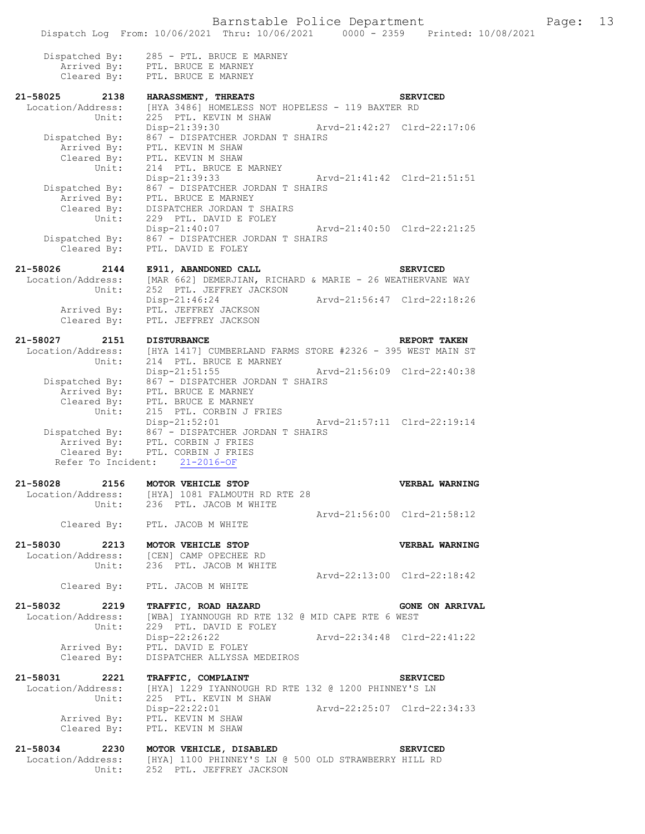|                      | Dispatch Log From: 10/06/2021 Thru: 10/06/2021 0000 - 2359 Printed: 10/08/2021                                                                        |                             |                        |
|----------------------|-------------------------------------------------------------------------------------------------------------------------------------------------------|-----------------------------|------------------------|
|                      |                                                                                                                                                       |                             |                        |
|                      | Dispatched By: 285 - PTL. BRUCE E MARNEY                                                                                                              |                             |                        |
|                      | Arrived By: PTL. BRUCE E MARNEY                                                                                                                       |                             |                        |
|                      | Cleared By: PTL. BRUCE E MARNEY                                                                                                                       |                             |                        |
| $21 - 58025$<br>2138 | <b>HARASSMENT, THREATS</b>                                                                                                                            |                             | <b>SERVICED</b>        |
|                      | Location/Address: [HYA 3486] HOMELESS NOT HOPELESS - 119 BAXTER RD                                                                                    |                             |                        |
| Unit:                | 225 PTL. KEVIN M SHAW                                                                                                                                 |                             |                        |
|                      | Disp-21:39:30                                                                                                                                         | Arvd-21:42:27 Clrd-22:17:06 |                        |
|                      |                                                                                                                                                       |                             |                        |
|                      | Dispatched By: $867 -$ DISPATCHER JORDAN T SHAIRS<br>Arrived By: PTL. KEVIN M SHAW                                                                    |                             |                        |
|                      |                                                                                                                                                       |                             |                        |
|                      | Cleared By: PTL. KEVIN M SHAW<br>214 PTL. BRUCE E MARNEY                                                                                              |                             |                        |
| $\frac{30 - 2}{10}$  |                                                                                                                                                       |                             |                        |
|                      | $Disp-21:39:33$                                                                                                                                       |                             |                        |
|                      | Dispatched By: $867 -$ DISPATCHER JORDAN T SHAIRS<br>Arrived By: PTL. BRUCE E MARNEY                                                                  |                             |                        |
|                      |                                                                                                                                                       |                             |                        |
|                      | Cleared By: DISPATCHER JORDAN T SHAIRS                                                                                                                |                             |                        |
|                      | Unit: 229 Fin.<br>Disp-21:40:07<br>Disp-21:40:07<br>229 PTL. DAVID E FOLEY                                                                            |                             |                        |
|                      |                                                                                                                                                       | Arvd-21:40:50 Clrd-22:21:25 |                        |
|                      |                                                                                                                                                       |                             |                        |
|                      | Dispatched By: $867 -$ DISPATCHER JORDAN T SHAIRS<br>Cleared By: PTL. DAVID E FOLEY                                                                   |                             |                        |
| 21-58026             | E911, ABANDONED CALL                                                                                                                                  |                             | <b>SERVICED</b>        |
| 2144                 | Location/Address: [MAR 662] DEMERJIAN, RICHARD & MARIE - 26 WEATHERVANE WAY                                                                           |                             |                        |
|                      |                                                                                                                                                       |                             |                        |
| Unit:                | 252 PTL. JEFFREY JACKSON                                                                                                                              |                             |                        |
|                      | Disp-21:46:24                                                                                                                                         | Arvd-21:56:47 Clrd-22:18:26 |                        |
|                      | Arrived By: PTL. JEFFREY JACKSON                                                                                                                      |                             |                        |
|                      | Cleared By: PTL. JEFFREY JACKSON                                                                                                                      |                             |                        |
|                      |                                                                                                                                                       |                             |                        |
| 21-58027<br>2151     | <b>DISTURBANCE</b>                                                                                                                                    |                             | REPORT TAKEN           |
|                      | $\texttt{Location/Address:} \qquad \texttt{[HYA 1417] CUMBERLAND FARMS STORE  \#2326 - 395 WEST MAN ST}\label{eq:1}$<br>Unit: 214 PTL. BRUCE E MARNEY |                             |                        |
|                      |                                                                                                                                                       |                             |                        |
|                      | Disp-21:51:55 Arvd-21:56:09 Clrd-22:40:38                                                                                                             |                             |                        |
|                      | Dispatched By: 867 - DISPATCHER JORDAN T SHAIRS                                                                                                       |                             |                        |
|                      | Arrived By: PTL. BRUCE E MARNEY                                                                                                                       |                             |                        |
|                      |                                                                                                                                                       |                             |                        |
|                      | Cleared By: PTL. BRUCE E MARNEY<br>Unit: 215 PTL. CORBIN J FRIES                                                                                      |                             |                        |
|                      | Disp-21:52:01 Arvd-21:57:11 Clrd-22:19:14                                                                                                             |                             |                        |
|                      | Disp-21:52:01 Arv<br>Dispatched By: 867 - DISPATCHER JORDAN T SHAIRS                                                                                  |                             |                        |
|                      | Arrived By: PTL. CORBIN J FRIES                                                                                                                       |                             |                        |
|                      | Cleared By: PTL. CORBIN J FRIES                                                                                                                       |                             |                        |
|                      | Refer To Incident: 21-2016-OF                                                                                                                         |                             |                        |
|                      |                                                                                                                                                       |                             |                        |
| 21-58028             | 2156 MOTOR VEHICLE STOP                                                                                                                               |                             | <b>VERBAL WARNING</b>  |
|                      | Location/Address: [HYA] 1081 FALMOUTH RD RTE 28                                                                                                       |                             |                        |
| Unit:                | 236 PTL. JACOB M WHITE                                                                                                                                |                             |                        |
|                      |                                                                                                                                                       | Arvd-21:56:00 Clrd-21:58:12 |                        |
|                      | Cleared By: PTL. JACOB M WHITE                                                                                                                        |                             |                        |
|                      |                                                                                                                                                       |                             |                        |
|                      | 21-58030 2213 MOTOR VEHICLE STOP                                                                                                                      |                             | VERBAL WARNING         |
|                      |                                                                                                                                                       |                             |                        |
|                      | Location/Address: [CEN] CAMP OPECHEE RD                                                                                                               |                             |                        |
|                      | Unit: 236 PTL. JACOB M WHITE                                                                                                                          |                             |                        |
|                      |                                                                                                                                                       | Arvd-22:13:00 Clrd-22:18:42 |                        |
|                      | Cleared By: PTL. JACOB M WHITE                                                                                                                        |                             |                        |
|                      |                                                                                                                                                       |                             |                        |
|                      | 21-58032 2219 TRAFFIC, ROAD HAZARD                                                                                                                    |                             | <b>GONE ON ARRIVAL</b> |
|                      | Location/Address: [WBA] IYANNOUGH RD RTE 132 @ MID CAPE RTE 6 WEST<br>Unit: 229 PTL. DAVID E FOLEY                                                    |                             |                        |
|                      |                                                                                                                                                       |                             |                        |
|                      | Disp-22:26:22<br>Arrived By: PTL. DAVID E FOLEY                                                                                                       | Arvd-22:34:48 Clrd-22:41:22 |                        |
|                      |                                                                                                                                                       |                             |                        |
|                      | Cleared By: DISPATCHER ALLYSSA MEDEIROS                                                                                                               |                             |                        |
|                      |                                                                                                                                                       |                             |                        |
| 21-58031 2221        | TRAFFIC, COMPLAINT                                                                                                                                    |                             | <b>SERVICED</b>        |
|                      | Location/Address: [HYA] 1229 IYANNOUGH RD RTE 132 @ 1200 PHINNEY'S LN                                                                                 |                             |                        |
| Unit:                | 225 PTL. KEVIN M SHAW                                                                                                                                 |                             |                        |
|                      | Disp-22:22:01 Arvd-22:25:07 Clrd-22:34:33                                                                                                             |                             |                        |
|                      |                                                                                                                                                       |                             |                        |
|                      | Arrived By: PTL. KEVIN M SHAW<br>Cleared By: PTL. KEVIN M SHAW                                                                                        |                             |                        |
|                      |                                                                                                                                                       |                             |                        |
| 21-58034 2230        | MOTOR VEHICLE, DISABLED                                                                                                                               |                             | <b>SERVICED</b>        |
|                      | Location/Address: [HYA] 1100 PHINNEY'S LN @ 500 OLD STRAWBERRY HILL RD                                                                                |                             |                        |
|                      | Unit: 252 PTL. JEFFREY JACKSON                                                                                                                        |                             |                        |
|                      |                                                                                                                                                       |                             |                        |